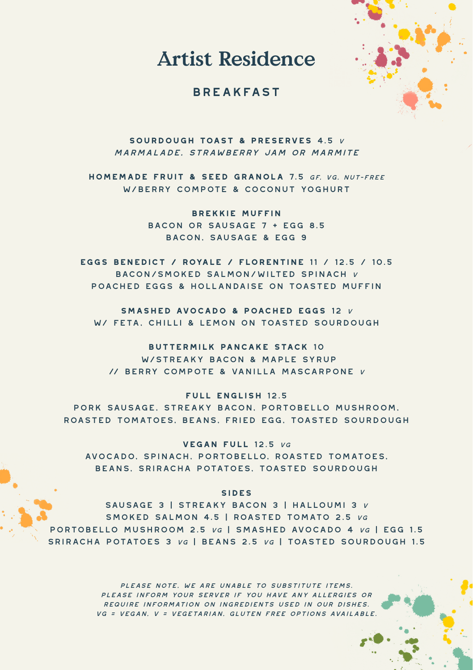Artist Residence

## **BREAKFAST**



**sourdough toast & preserves** 4.5 <sup>v</sup> marmalade, strawberry jam or marmite

**homemade fruit & seed granola** 7.5 gf, vg, nut-free w/berry compote & coconut yoghurt

> **brekkie muffin** bacon or sausage 7 + egg 8.5 bacon, sausage & egg 9

**eggs benedict / royale / florentine** 11 / 12.5 / 10.5 bacon/smoked salmon/wilted spinach <sup>v</sup> poached eggs & hollandaise on toasted muffin

**smashed avocado & poached eggs** 12 <sup>v</sup> w/ feta, chilli & lemon on toasted sourdough

**buttermilk pancake stack** 10 w/streaky bacon & maple syrup // berry compote & vanilla mascarpone <sup>v</sup>

**full english** 12.5 pork sausage, streaky bacon, portobello mushroom, roasted tomatoes, beans, fried egg, toasted sourdough

**vegan full** 12.5 vg avocado, spinach, portobello, roasted tomatoes, beans, sriracha potatoes, toasted sourdough

**SIDES**

sausage 3 | streaky bacon 3 | halloumi 3 <sup>v</sup> smoked salmon 4.5 | roasted tomato 2.5 vg portobello mushroom 2.5 vg | smashed avocado 4 vg | egg 1.5 sriracha potatoes 3 vg | beans 2.5 vg | toasted sourdough 1.5

> please note, we are unable to substitute items. please inform your server if you have any allergies or require information on ingredients used in our dishes. vg = vegan, v = vegetarian, gluten free options available.